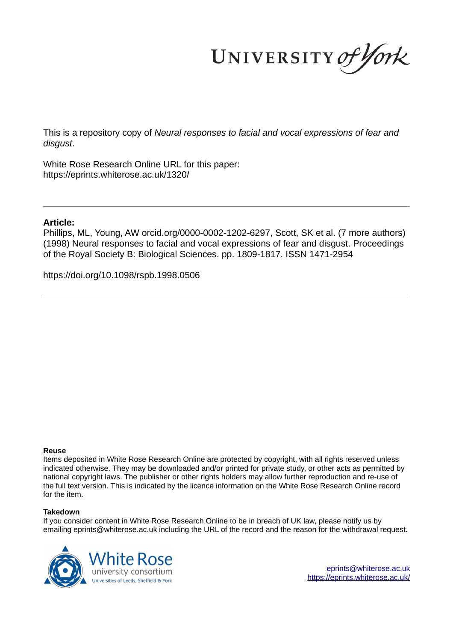UNIVERSITY of York

This is a repository copy of *Neural responses to facial and vocal expressions of fear and disgust*.

White Rose Research Online URL for this paper: https://eprints.whiterose.ac.uk/1320/

# **Article:**

Phillips, ML, Young, AW orcid.org/0000-0002-1202-6297, Scott, SK et al. (7 more authors) (1998) Neural responses to facial and vocal expressions of fear and disgust. Proceedings of the Royal Society B: Biological Sciences. pp. 1809-1817. ISSN 1471-2954

https://doi.org/10.1098/rspb.1998.0506

# **Reuse**

Items deposited in White Rose Research Online are protected by copyright, with all rights reserved unless indicated otherwise. They may be downloaded and/or printed for private study, or other acts as permitted by national copyright laws. The publisher or other rights holders may allow further reproduction and re-use of the full text version. This is indicated by the licence information on the White Rose Research Online record for the item.

# **Takedown**

If you consider content in White Rose Research Online to be in breach of UK law, please notify us by emailing eprints@whiterose.ac.uk including the URL of the record and the reason for the withdrawal request.



eprints@whiterose.ac.uk https://eprints.whiterose.ac.uk/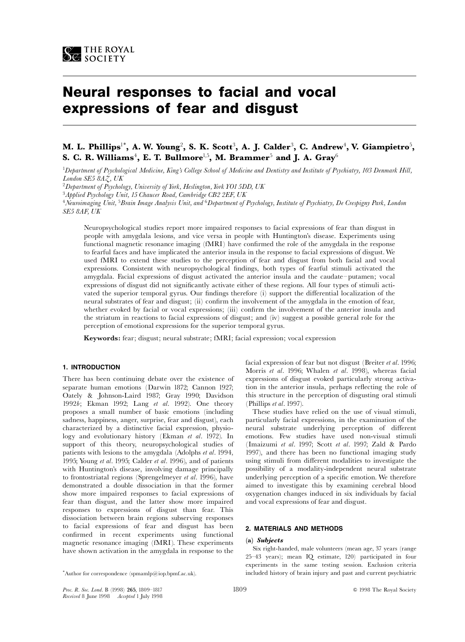

# Neural responses to facial and vocal expressions of fear and disgust

# M. L. Phillips $^{\text{!}*}$ , A. W. Young $^{\text{2}}$ , S. K. Scott $^{\text{3}}$ , A. J. Calder $^{\text{3}}$ , C. Andrew $^{\text{4}}$ , V. Giampietro $^{\text{5}}$ , S. C. R. Williams $^4$ , E. T. Bullmore $^{\mathrm{l}, 5}$ , M. Brammer $^5$  and J. A. Gray $^6$

<sup>1</sup>Department of Psychological Medicine, King's College School of Medicine and Dentistry and Institute of Psychiatry, 103 Denmark Hill, London SE5 8AZ, UK

<sup>2</sup>Department of Psychology, University of York, Heslington, York YO1 5DD, UK

<sup>3</sup>Applied Psychology Unit, 15 Chaucer Road, Cambridge CB2 2EF, UK

<sup>4</sup>Neuroimaging Unit, <sup>5</sup>Brain Image Analysis Unit, and <sup>6</sup>Department of Psychology, Institute of Psychiatry, De Crespigny Park, London SE5 8AF, UK

Neuropsychological studies report more impaired responses to facial expressions of fear than disgust in people with amygdala lesions, and vice versa in people with Huntington's disease. Experiments using functional magnetic resonance imaging (fMRI) have confirmed the role of the amygdala in the response to fearful faces and have implicated the anterior insula in the response to facial expressions of disgust. We used fMRI to extend these studies to the perception of fear and disgust from both facial and vocal expressions. Consistent with neuropsychological findings, both types of fearful stimuli activated the amygdala. Facial expressions of disgust activated the anterior insula and the caudate-putamen; vocal expressions of disgust did not significantly activate either of these regions. All four types of stimuli activated the superior temporal gyrus. Our findings therefore (i) support the differential localization of the neural substrates of fear and disgust; (ii) confirm the involvement of the amygdala in the emotion of fear, whether evoked by facial or vocal expressions; (iii) confirm the involvement of the anterior insula and the striatum in reactions to facial expressions of disgust; and (iv) suggest a possible general role for the perception of emotional expressions for the superior temporal gyrus.

Keywords: fear; disgust; neural substrate; fMRI; facial expression; vocal expression

# 1. INTRODUCTION

There has been continuing debate over the existence of separate human emotions (Darwin 1872; Cannon 1927; Oately & Johnson-Laird 1987; Gray 1990; Davidson 1992b; Ekman 1992; Lang et al. 1992). One theory proposes a small number of basic emotions (including sadness, happiness, anger, surprise, fear and disgust), each characterized by a distinctive facial expression, physiology and evolutionary history (Ekman et al. 1972). In support of this theory, neuropsychological studies of patients with lesions to the amygdala (Adolphs et al. 1994, 1995; Young et al. 1995; Calder et al. 1996), and of patients with Huntington's disease, involving damage principally to frontostriatal regions (Sprengelmeyer et al. 1996), have demonstrated a double dissociation in that the former show more impaired responses to facial expressions of fear than disgust, and the latter show more impaired responses to expressions of disgust than fear. This dissociation between brain regions subserving responses to facial expressions of fear and disgust has been confirmed in recent experiments using functional magnetic resonance imaging (fMRI). These experiments have shown activation in the amygdala in response to the

facial expression of fear but not disgust (Breiter et al. 1996; Morris et al. 1996; Whalen et al. 1998), whereas facial expressions of disgust evoked particularly strong activation in the anterior insula, perhaps reflecting the role of this structure in the perception of disgusting oral stimuli (Phillips et al. 1997).

These studies have relied on the use of visual stimuli, particularly facial expressions, in the examination of the neural substrate underlying perception of different emotions. Few studies have used non-visual stimuli (Imaizumi et al. 1997; Scott et al. 1997; Zald & Pardo 1997), and there has been no functional imaging study using stimuli from different modalities to investigate the possibility of a modality-independent neural substrate underlying perception of a specific emotion. We therefore aimed to investigate this by examining cerebral blood oxygenation changes induced in six individuals by facial and vocal expressions of fear and disgust.

#### 2. MATERIALS AND METHODS

#### (a) Subjects

Six right-handed, male volunteers (mean age, 37 years (range 25^43 years); mean IQ estimate, 120) participated in four experiments in the same testing session. Exclusion criteria included history of brain injury and past and current psychiatric

<sup>\*</sup>Author for correspondence (spmamlp@iop.bpmf.ac.uk).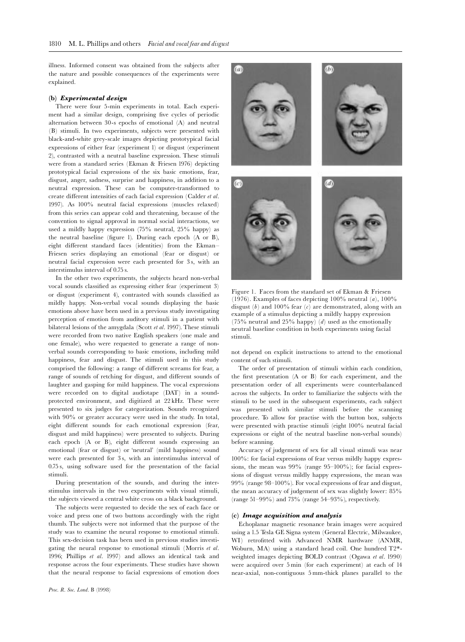illness. Informed consent was obtained from the subjects after the nature and possible consequences of the experiments were explained.

# (b) Experimental design

There were four 5-min experiments in total. Each experiment had a similar design, comprising five cycles of periodic alternation between 30-s epochs of emotional (A) and neutral (B) stimuli. In two experiments, subjects were presented with black-and-white grey-scale images depicting prototypical facial expressions of either fear (experiment 1) or disgust (experiment 2), contrasted with a neutral baseline expression. These stimuli were from a standard series (Ekman & Friesen 1976) depicting prototypical facial expressions of the six basic emotions, fear, disgust, anger, sadness, surprise and happiness, in addition to a neutral expression. These can be computer-transformed to create different intensities of each facial expression (Calder et al. 1997). As 100% neutral facial expressions (muscles relaxed) from this series can appear cold and threatening, because of the convention to signal approval in normal social interactions, we used a mildly happy expression (75% neutral, 25% happy) as the neutral baseline (figure 1). During each epoch  $(A \text{ or } B)$ , eight different standard faces (identities) from the Ekman-Friesen series displaying an emotional (fear or disgust) or neutral facial expression were each presented for 3 s, with an interstimulus interval of 0.75 s.

In the other two experiments, the subjects heard non-verbal vocal sounds classified as expressing either fear (experiment 3) or disgust (experiment 4), contrasted with sounds classified as mildly happy. Non-verbal vocal sounds displaying the basic emotions above have been used in a previous study investigating perception of emotion from auditory stimuli in a patient with bilateral lesions of the amygdala (Scott  $et al.$  1997). These stimuli were recorded from two native English speakers (one male and one female), who were requested to generate a range of nonverbal sounds corresponding to basic emotions, including mild happiness, fear and disgust. The stimuli used in this study comprised the following: a range of different screams for fear, a range of sounds of retching for disgust, and different sounds of laughter and gasping for mild happiness. The vocal expressions were recorded on to digital audiotape (DAT) in a soundprotected environment, and digitized at 22 kHz. These were presented to six judges for categorization. Sounds recognized with 90% or greater accuracy were used in the study. In total, eight different sounds for each emotional expression (fear, disgust and mild happiness) were presented to subjects. During each epoch (A or B), eight different sounds expressing an emotional (fear or disgust) or `neutral' (mild happiness) sound were each presented for 3 s, with an interstimulus interval of 0.75 s, using software used for the presentation of the facial stimuli.

During presentation of the sounds, and during the interstimulus intervals in the two experiments with visual stimuli, the subjects viewed a central white cross on a black background.

The subjects were requested to decide the sex of each face or voice and press one of two buttons accordingly with the right thumb. The subjects were not informed that the purpose of the study was to examine the neural response to emotional stimuli. This sex-decision task has been used in previous studies investigating the neural response to emotional stimuli (Morris et al. 1996; Phillips et al. 1997) and allows an identical task and response across the four experiments. These studies have shown that the neural response to facial expressions of emotion does



Figure 1. Faces from the standard set of Ekman & Friesen (1976). Examples of faces depicting  $100\%$  neutral  $(a)$ ,  $100\%$ disgust  $(b)$  and 100% fear  $(c)$  are demonstrated, along with an example of a stimulus depicting a mildly happy expression (75% neutral and 25% happy)  $(d)$  used as the emotionally neutral baseline condition in both experiments using facial stimuli.

not depend on explicit instructions to attend to the emotional content of such stimuli.

The order of presentation of stimuli within each condition, the first presentation  $(A \text{ or } B)$  for each experiment, and the presentation order of all experiments were counterbalanced across the subjects. In order to familiarize the subjects with the stimuli to be used in the subsequent experiments, each subject was presented with similar stimuli before the scanning procedure. To allow for practise with the button box, subjects were presented with practise stimuli (eight 100% neutral facial expressions or eight of the neutral baseline non-verbal sounds) before scanning.

Accuracy of judgement of sex for all visual stimuli was near 100%: for facial expressions of fear versus mildly happy expressions, the mean was  $99\%$  (range  $95-100\%$ ); for facial expressions of disgust versus mildly happy expressions, the mean was 99% (range 98^100%). For vocal expressions of fear and disgust, the mean accuracy of judgement of sex was slightly lower: 85% (range  $51-99\%$ ) and  $73\%$  (range  $54-93\%$ ), respectively.

# (c) Image acquisition and analysis

Echoplanar magnetic resonance brain images were acquired using a 1.5 Tesla GE Signa system (General Electric, Milwaukee, WI) retrofitted with Advanced NMR hardware (ANMR, Woburn, MA) using a standard head coil. One hundred T2\* weighted images depicting BOLD contrast (Ogawa et al. 1990) were acquired over 5 min (for each experiment) at each of 14 near-axial, non-contiguous 5 mm-thick planes parallel to the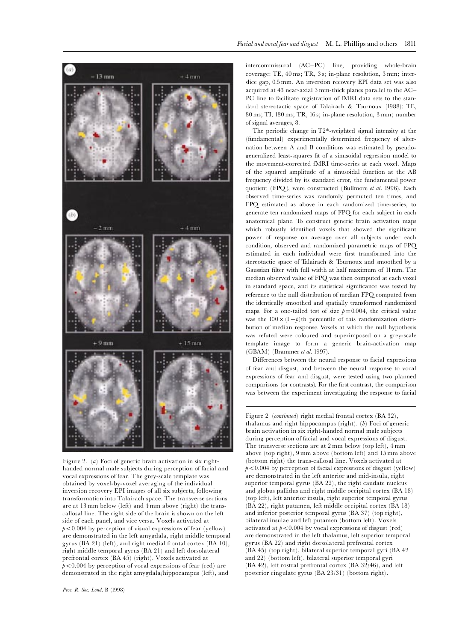

Figure 2. (a) Foci of generic brain activation in six righthanded normal male subjects during perception of facial and vocal expressions of fear. The grey-scale template was obtained by voxel-by-voxel averaging of the individual inversion recovery EPI images of all six subjects, following transformation into Talairach space. The transverse sections are at 13 mm below (left) and 4 mm above (right) the transcallosal line. The right side of the brain is shown on the left side of each panel, and vice versa. Voxels activated at  $p<0.004$  by perception of visual expressions of fear (yellow) are demonstrated in the left amygdala, right middle temporal gyrus (BA 21) (left), and right medial frontal cortex (BA 10), right middle temporal gyrus (BA 21) and left dorsolateral prefrontal cortex (BA 45) (right). Voxels activated at  $p<0.004$  by perception of vocal expressions of fear (red) are demonstrated in the right amygdala/hippocampus (left), and

intercommissural (AC-PC) line, providing whole-brain coverage: TE, 40 ms; TR, 3 s; in-plane resolution, 3 mm; interslice gap, 0.5 mm. An inversion recovery EPI data set was also acquired at 43 near-axial 3 mm-thick planes parallel to the AC^ PC line to facilitate registration of fMRI data sets to the standard stereotactic space of Talairach & Tournoux (1988): TE, 80 ms; TI, 180 ms; TR, 16 s; in-plane resolution, 3 mm; number of signal averages, 8.

The periodic change in T2\*-weighted signal intensity at the (fundamental) experimentally determined frequency of alternation between A and B conditions was estimated by pseudogeneralized least-squares ¢t of a sinusoidal regression model to the movement-corrected fMRI time-series at each voxel. Maps of the squared amplitude of a sinusoidal function at the AB frequency divided by its standard error, the fundamental power quotient (FPQ), were constructed (Bullmore et al. 1996). Each observed time-series was randomly permuted ten times, and FPQ estimated as above in each randomized time-series, to generate ten randomized maps of FPQ for each subject in each anatomical plane. To construct generic brain activation maps which robustly identified voxels that showed the significant power of response on average over all subjects under each condition, observed and randomized parametric maps of FPQ estimated in each individual were first transformed into the stereotactic space of Talairach & Tournoux and smoothed by a Gaussian filter with full width at half maximum of 11mm. The median observed value of FPQ was then computed at each voxel in standard space, and its statistical significance was tested by reference to the null distribution of median FPQ computed from the identically smoothed and spatially transformed randomized maps. For a one-tailed test of size  $p=0.004$ , the critical value was the  $100 \times (1-p)$ th percentile of this randomization distribution of median response. Voxels at which the null hypothesis was refuted were coloured and superimposed on a grey-scale template image to form a generic brain-activation map (GBAM) (Brammer et al. 1997).

Differences between the neural response to facial expressions of fear and disgust, and between the neural response to vocal expressions of fear and disgust, were tested using two planned comparisons (or contrasts). For the first contrast, the comparison was between the experiment investigating the response to facial

Figure 2 (continued) right medial frontal cortex (BA 32), thalamus and right hippocampus (right).  $(b)$  Foci of generic brain activation in six right-handed normal male subjects during perception of facial and vocal expressions of disgust. The transverse sections are at 2 mm below (top left), 4 mm above (top right), 9 mm above (bottom left) and 15 mm above (bottom right) the trans-callosal line. Voxels activated at  $p<0.004$  by perception of facial expressions of disgust (yellow) are demonstrated in the left anterior and mid-insula, right superior temporal gyrus (BA 22), the right caudate nucleus and globus pallidus and right middle occipital cortex (BA 18) (top left), left anterior insula, right superior temporal gyrus (BA 22), right putamen, left middle occipital cortex (BA 18) and inferior posterior temporal gyrus (BA 37) (top right), bilateral insulae and left putamen (bottom left). Voxels activated at  $p<0.004$  by vocal expressions of disgust (red) are demonstrated in the left thalamus, left superior temporal gyrus (BA 22) and right dorsolateral prefrontal cortex (BA 45) (top right), bilateral superior temporal gyri (BA 42 and 22) (bottom left), bilateral superior temporal gyri (BA 42), left rostral prefrontal cortex (BA 32/46), and left posterior cingulate gyrus (BA 23/31) (bottom right).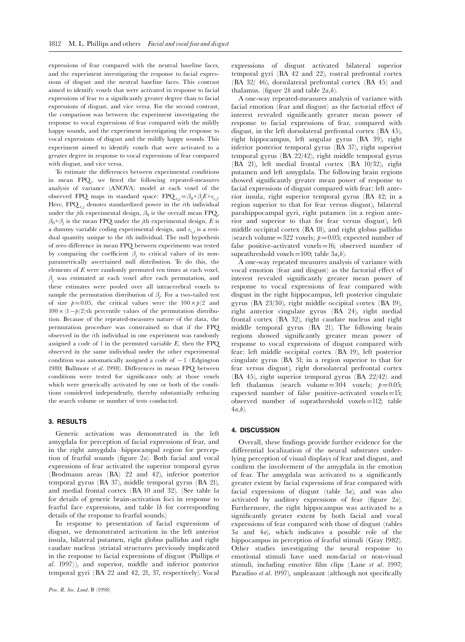expressions of fear compared with the neutral baseline faces, and the experiment investigating the response to facial expressions of disgust and the neutral baseline faces. This contrast aimed to identify voxels that were activated in response to facial expressions of fear to a significantly greater degree than to facial expressions of disgust, and vice versa. For the second contrast, the comparison was between the experiment investigating the response to vocal expressions of fear compared with the mildly happy sounds, and the experiment investigating the response to vocal expressions of disgust and the mildly happy sounds. This experiment aimed to identify voxels that were activated to a greater degree in response to vocal expressions of fear compared with disgust, and vice versa.

To estimate the differences between experimental conditions in mean FPQ, we fitted the following repeated-measures analysis of variance (ANOVA) model at each voxel of the observed FPQ maps in standard space:  $\text{FPQ}_{i,j} = \beta_0 + \beta_j E + e_{i,j}$ . Here,  $\text{FPQ}_{i,j}$  denotes standardized power in the *i*th individual under the *j*th experimental design,  $\beta_0$  is the overall mean FPQ,  $\beta_0 + \beta_j$  is the mean FPQ under the *j*th experimental design, *E* is a dummy variable coding experimental design, and  $e_{i,j}$  is a residual quantity unique to the ith individual. The null hypothesis of zero difference in mean FPQ between experiments was tested by comparing the coefficient  $\beta_j$  to critical values of its nonparametrically ascertained null distribution. To do this, the elements of E were randomly permuted ten times at each voxel,  $\beta$ ; was estimated at each voxel after each permutation, and these estimates were pooled over all intracerebral voxels to sample the permutation distribution of  $\beta_j$ . For a two-tailed test of size  $p=0.05$ , the critical values were the  $100 \times p/2$  and  $100 \times (1 - p/2)$ th percentile values of the permutation distribution. Because of the repeated-measures nature of the data, the permutation procedure was constrained so that if the FPQ observed in the ith individual in one experiment was randomly assigned a code of 1 in the permuted variable  $E$ , then the FPQ observed in the same individual under the other experimental condition was automatically assigned a code of  $-1$  (Edgington 1980; Bullmore et al. 1998). Differences in mean FPQ between conditions were tested for significance only at those voxels which were generically activated by one or both of the conditions considered independently, thereby substantially reducing the search volume or number of tests conducted.

# 3. RESULTS

Generic activation was demonstrated in the left amygdala for perception of facial expressions of fear, and in the right amygdala-hippocampal region for perception of fearful sounds (figure  $2a$ ). Both facial and vocal expressions of fear activated the superior temporal gyrus (Brodmann areas (BA) 22 and 42), inferior posterior temporal gyrus (BA 37), middle temporal gyrus (BA 21), and medial frontal cortex (BA 10 and 32). (See table 1a for details of generic brain-activation foci in response to fearful face expressions, and table 1b for corresponding details of the response to fearful sounds.)

In response to presentation of facial expressions of disgust, we demonstrated activation in the left anterior insula, bilateral putamen, right globus pallidus and right caudate nucleus (striatal structures previously implicated in the response to facial expressions of disgust (Phillips et al. 1997)), and superior, middle and inferior posterior temporal gyri (BA 22 and 42, 21, 37, respectively). Vocal expressions of disgust activated bilateral superior temporal gyri (BA 42 and 22), rostral prefrontal cortex (BA 32/ 46), dorsolateral prefrontal cortex (BA 45) and thalamus. (figure 2b and table  $2a,b$ ).

A one-way repeated-measures analysis of variance with facial emotion (fear and disgust) as the factorial effect of interest revealed significantly greater mean power of response to facial expressions of fear, compared with disgust, in the left dorsolateral prefrontal cortex (BA 45), right hippocampus, left angular gyrus (BA 39), right inferior posterior temporal gyrus (BA 37), right superior temporal gyrus (BA 22/42), right middle temporal gyrus (BA 21), left medial frontal cortex (BA 10/32), right putamen and left amygdala. The following brain regions showed significantly greater mean power of response to facial expressions of disgust compared with fear: left anterior insula, right superior temporal gyrus (BA 42; in a region superior to that for fear versus disgust), bilateral parahippocampal gyri, right putamen (in a region anterior and superior to that for fear versus disgust), left middle occipital cortex (BA 18), and right globus pallidus (search volume=322 voxels;  $p=0.05$ ; expected number of false positive-activated voxels $=16$ ; observed number of suprathreshold voxels=100; table  $3a,b$ ).

A one-way repeated measures analysis of variance with vocal emotion (fear and disgust) as the factorial effect of interest revealed significantly greater mean power of response to vocal expressions of fear compared with disgust in the right hippocampus, left posterior cingulate gyrus (BA 23/30), right middle occipital cortex (BA 19), right anterior cingulate gyrus (BA 24), right medial frontal cortex (BA 32), right caudate nucleus and right middle temporal gyrus (BA 21). The following brain regions showed significantly greater mean power of response to vocal expressions of disgust compared with fear: left middle occipital cortex (BA 19), left posterior cingulate gyrus (BA 31; in a region superior to that for fear versus disgust), right dorsolateral prefrontal cortex (BA 45), right superior temporal gyrus (BA 22/42) and left thalamus (search volume=304 voxels;  $p=0.05$ ; expected number of false positive-activated voxels $=15$ ; observed number of suprathreshold voxels $=112$ ; table  $4a,b)$ .

#### 4. DISCUSSION

Overall, these findings provide further evidence for the differential localization of the neural substrates underlying perception of visual displays of fear and disgust, and confirm the involvement of the amygdala in the emotion of fear. The amygdala was activated to a significantly greater extent by facial expressions of fear compared with facial expressions of disgust (table 3a), and was also activated by auditory expressions of fear (figure  $2a$ ). Furthermore, the right hippocampus was activated to a significantly greater extent by both facial and vocal expressions of fear compared with those of disgust (tables  $3a$  and  $4a$ ), which indicates a possible role of the hippocampus in perception of fearful stimuli (Gray 1982). Other studies investigating the neural response to emotional stimuli have used non-facial or non-visual stimuli, including emotive film clips (Lane  $et \ al.$  1997; Paradiso et al. 1997), unpleasant (although not specifically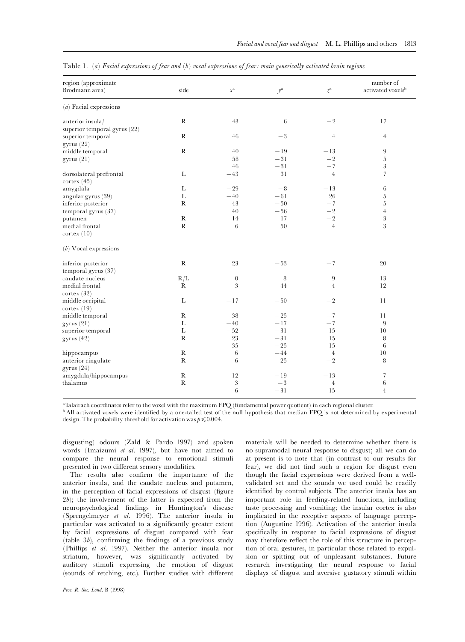| region (approximate<br>Brodmann area) | side         | $\chi^{\rm a}$   | $y^{\mathrm{a}}$ | $\boldsymbol{z}^{\rm a}$ | number of<br>activated voxels <sup>b</sup> |
|---------------------------------------|--------------|------------------|------------------|--------------------------|--------------------------------------------|
| $(a)$ Facial expressions              |              |                  |                  |                          |                                            |
| anterior insula/                      | $\mathbb{R}$ | 43               | 6                | $-2$                     | 17                                         |
| superior temporal gyrus (22)          |              |                  |                  |                          |                                            |
| superior temporal                     | $\mathbb{R}$ | 46               | $-3$             | $\overline{4}$           | $\overline{4}$                             |
| gyrus(22)                             |              |                  |                  |                          |                                            |
| middle temporal                       | ${\bf R}$    | $40\,$           | $-19$            | $-13$                    | $9$                                        |
| gyrus(21)                             |              | 58               | $-31$            | $-2$                     | $\overline{5}$                             |
|                                       |              | 46               | $-31$            | $-7$                     | 3                                          |
| dorsolateral prefrontal               | L            | $-43$            | 31               | $\overline{4}$           | $\overline{7}$                             |
| cortex (45)                           |              |                  |                  |                          |                                            |
| amygdala                              | L            | $-29$            | $-8$             | $-13$                    | 6                                          |
| angular gyrus (39)                    | $\mathbf{L}$ | $-40$            | $-61$            | 26                       | $\overline{5}$                             |
| inferior posterior                    | $\mathbb{R}$ | 43               | $-50$            | $-7$                     | $\overline{5}$                             |
| temporal gyrus (37)                   |              | 40               | $- \, 56$        | $-2$                     | $\overline{4}$                             |
| putamen                               | ${\bf R}$    | 14               | 17               | $-2$                     | $\overline{3}$                             |
| medial frontal                        | ${\bf R}$    | 6                | 50               | $\overline{4}$           | 3                                          |
| $\text{cortex} (10)$                  |              |                  |                  |                          |                                            |
| $(b)$ Vocal expressions               |              |                  |                  |                          |                                            |
| inferior posterior                    | ${\bf R}$    | 23               | $-53$            | $-7$                     | 20                                         |
| temporal gyrus (37)                   |              |                  |                  |                          |                                            |
| caudate nucleus                       | R/L          | $\boldsymbol{0}$ | 8                | 9                        | 13                                         |
| medial frontal                        | $\mathbb{R}$ | 3                | 44               | $\overline{4}$           | 12                                         |
| cortex $(32)$                         |              |                  |                  |                          |                                            |
| middle occipital                      | L            | $-17$            | $-50$            | $-2$                     | 11                                         |
| cortex (19)                           |              |                  |                  |                          |                                            |
| middle temporal                       | $\mathbb{R}$ | $38\,$           | $-25$            | $-7$                     | 11                                         |
| gyrus(21)                             | Г            | $-40$            | $-17$            | $-7$                     | 9                                          |
| superior temporal                     | L            | $-52$            | $-31$            | 15                       | 10                                         |
| gyrus $(42)$                          | $\mathbb{R}$ | 23               | $-31$            | 15                       | 8                                          |
|                                       |              | 35               | $-25$            | 15                       | 6                                          |
| hippocampus                           | $\mathbb{R}$ | 6                | $-44$            | $\overline{4}$           | 10                                         |
| anterior cingulate                    | $\mathbb{R}$ | 6                | 25               | $-2$                     | 8                                          |
| gyrus $(24)$                          |              |                  |                  |                          |                                            |
| amygdala/hippocampus                  | ${\bf R}$    | 12               | $-19$            | $-13$                    | 7                                          |
| thalamus                              | ${\bf R}$    | $\sqrt{3}$       | $-3$             | $\overline{4}$           | 6                                          |
|                                       |              | 6                | $-31$            | 15                       | $\overline{4}$                             |

Table 1. (a) Facial expressions of fear and (b) vocal expressions of fear: main generically activated brain regions

<sup>a</sup>Talairach coordinates refer to the voxel with the maximum FPQ (fundamental power quotient) in each regional cluster.

<sup>b</sup> All activated voxels were identified by a one-tailed test of the null hypothesis that median FPQ is not determined by experimental design. The probability threshold for activation was  $p \leq 0.004$ .

disgusting) odours (Zald & Pardo 1997) and spoken words (Imaizumi et al. 1997), but have not aimed to compare the neural response to emotional stimuli presented in two different sensory modalities.

The results also confirm the importance of the anterior insula, and the caudate nucleus and putamen, in the perception of facial expressions of disgust (figure  $2b$ ; the involvement of the latter is expected from the neuropsychological ¢ndings in Huntington's disease (Sprengelmeyer et al. 1996). The anterior insula in particular was activated to a significantly greater extent by facial expressions of disgust compared with fear (table  $3b$ ), confirming the findings of a previous study (Phillips et al. 1997). Neither the anterior insula nor striatum, however, was significantly activated by auditory stimuli expressing the emotion of disgust (sounds of retching, etc.). Further studies with different

materials will be needed to determine whether there is no supramodal neural response to disgust; all we can do at present is to note that (in contrast to our results for fear), we did not find such a region for disgust even though the facial expressions were derived from a wellvalidated set and the sounds we used could be readily identified by control subjects. The anterior insula has an important role in feeding-related functions, including taste processing and vomiting; the insular cortex is also implicated in the receptive aspects of language perception (Augustine 1996). Activation of the anterior insula specifically in response to facial expressions of disgust may therefore reflect the role of this structure in perception of oral gestures, in particular those related to expulsion or spitting out of unpleasant substances. Future research investigating the neural response to facial displays of disgust and aversive gustatory stimuli within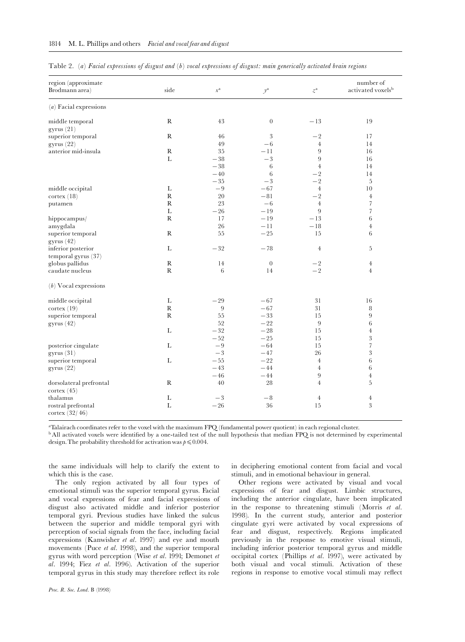|  | Table 2. (a) Facial expressions of disgust and (b) vocal expressions of disgust: main generically activated brain regions |  |  |  |  |  |  |  |
|--|---------------------------------------------------------------------------------------------------------------------------|--|--|--|--|--|--|--|
|  |                                                                                                                           |  |  |  |  |  |  |  |

| region (approximate<br>Brodmann area)           | side         | $\boldsymbol{\chi}^\text{a}$ | $y^{\rm a}$      | $\boldsymbol{z}^{\rm a}$ | number of<br>activated voxels <sup>b</sup> |
|-------------------------------------------------|--------------|------------------------------|------------------|--------------------------|--------------------------------------------|
| $(a)$ Facial expressions                        |              |                              |                  |                          |                                            |
| middle temporal                                 | $\mathbb{R}$ | 43                           | $\boldsymbol{0}$ | $-13$                    | 19                                         |
| gyrus(21)                                       |              |                              |                  |                          |                                            |
| superior temporal                               | ${\bf R}$    | 46                           | 3                | $-2$                     | 17                                         |
| gyrus(22)                                       |              | 49                           | $-6$             | $\,4\,$                  | 14                                         |
| anterior mid-insula                             | $\mathbb{R}$ | 35                           | $-11$            | 9                        | 16                                         |
|                                                 | L            | $-38$                        | $-3$             | 9                        | 16                                         |
|                                                 |              | $-38$                        | 6                | $\overline{4}$           | 14                                         |
|                                                 |              | $-40$                        | 6                | $-2$                     | 14                                         |
|                                                 |              | $-35$                        | $- \sqrt{3}$     | $-2$                     | 5                                          |
| middle occipital                                | $\mathbf L$  | $-9$                         | $-67$            | $\,4\,$                  | 10                                         |
| $\text{cortex} (18)$                            | $\mathbf R$  | 20                           | $-81$            | $-2$                     | $\overline{4}$                             |
| putamen                                         | $\mathbb{R}$ | $23\,$                       | $-6$             | $\overline{4}$           | 7                                          |
|                                                 | $\mathbf L$  | $-26$                        | $-19$            | $\overline{9}$           | $\overline{\phantom{a}}$                   |
| hippocampus/                                    | ${\bf R}$    | 17                           | $-19$            | $-13$                    | $\,6\,$                                    |
| amygdala                                        |              | 26                           | $-11$            | $-18$                    | $\overline{4}$                             |
| superior temporal                               | R            | 55                           | $-25$            | 15                       | 6                                          |
| gyrus(42)                                       |              |                              |                  |                          |                                            |
| inferior posterior                              | L            | $- \sqrt{32}$                | $-78$            | $\overline{4}$           | 5                                          |
| temporal gyrus (37)                             |              |                              |                  |                          |                                            |
| globus pallidus                                 | $\mathbb{R}$ | 14                           | $\overline{0}$   | $-{\,2\,}$               | $\overline{4}$                             |
| caudate nucleus                                 | ${\bf R}$    | $\,6\,$                      | 14               | $-2$                     | $\overline{4}$                             |
| $(b)$ Vocal expressions                         |              |                              |                  |                          |                                            |
| middle occipital                                | $\mathbf L$  | $-29$                        | $-67$            | 31                       | 16                                         |
| $\text{cortex}$ (19)                            | ${\bf R}$    | 9                            | $-67$            | $3\sqrt{1}$              | 8                                          |
| superior temporal                               | ${\bf R}$    | 55                           | $-33$            | 15                       | 9                                          |
| gyrus(42)                                       |              | 52                           | $-22$            | $9$                      | 6                                          |
|                                                 | $\mathbf L$  | $-32$                        | $-28$            | 15                       | $\,4\,$                                    |
|                                                 |              | $-52$                        | $-25$            | 15                       | $\sqrt{3}$                                 |
| posterior cingulate                             | $\mathbf L$  | $-9$                         | $-64$            | 15                       | $\sqrt{ }$                                 |
| gyrus(31)                                       |              | $-3$                         | $-47$            | 26                       | $\sqrt{3}$                                 |
| superior temporal                               | L            | $-55$                        | $-22$            | $\overline{4}$           | 6                                          |
| gyrus(22)                                       |              | $-43$                        | $-44$            | $\overline{4}$           | 6                                          |
|                                                 |              | $-46$                        | $-44$            | 9                        | $\overline{4}$                             |
| dorsolateral prefrontal<br>$\text{cortex}$ (45) | $\mathbb{R}$ | 40                           | 28               | $\overline{4}$           | 5                                          |
| thalamus                                        | $\mathbf L$  | $-3$                         | $- \, 8$         | $\overline{4}$           | $\overline{4}$                             |
| rostral prefrontal<br>cortex $(32/46)$          | $\mathbf L$  | $-26$                        | 36               | 15                       | 3                                          |

<sup>a</sup>Talairach coordinates refer to the voxel with the maximum FPQ (fundamental power quotient) in each regional cluster.

<sup>b</sup> All activated voxels were identified by a one-tailed test of the null hypothesis that median FPQ is not determined by experimental design. The probability threshold for activation was  $p \leq 0.004$ .

the same individuals will help to clarify the extent to which this is the case.

The only region activated by all four types of emotional stimuli was the superior temporal gyrus. Facial and vocal expressions of fear and facial expressions of disgust also activated middle and inferior posterior temporal gyri. Previous studies have linked the sulcus between the superior and middle temporal gyri with perception of social signals from the face, including facial expressions (Kanwisher et al. 1997) and eye and mouth movements (Puce et al. 1998), and the superior temporal gyrus with word perception (Wise et al. 1991; Demonet et al. 1994; Fiez et al. 1996). Activation of the superior temporal gyrus in this study may therefore reflect its role

in deciphering emotional content from facial and vocal stimuli, and in emotional behaviour in general.

Other regions were activated by visual and vocal expressions of fear and disgust. Limbic structures, including the anterior cingulate, have been implicated in the response to threatening stimuli (Morris et al. 1998). In the current study, anterior and posterior cingulate gyri were activated by vocal expressions of fear and disgust, respectively. Regions implicated previously in the response to emotive visual stimuli, including inferior posterior temporal gyrus and middle occipital cortex (Phillips et al. 1997), were activated by both visual and vocal stimuli. Activation of these regions in response to emotive vocal stimuli may reflect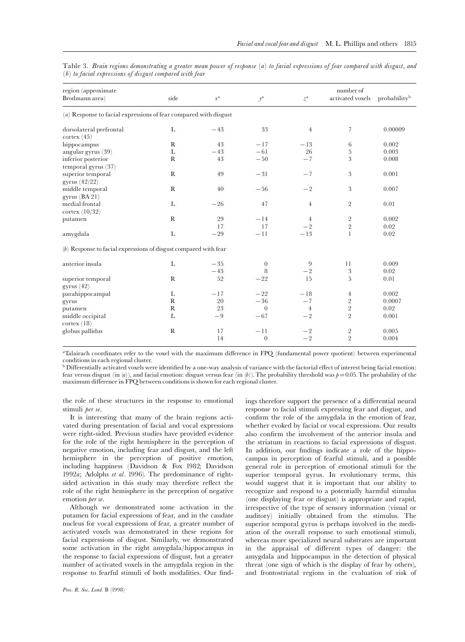| region (approximate<br>Brodmann area)                              | side         | $x^{\mathrm{a}}$ | $\mathcal{Y}^\mathrm{a}$ | $\boldsymbol{z}^{\rm a}$ | number of<br>activated voxels    | probability <sup>b</sup> |
|--------------------------------------------------------------------|--------------|------------------|--------------------------|--------------------------|----------------------------------|--------------------------|
| $(a)$ Response to facial expressions of fear compared with disgust |              |                  |                          |                          |                                  |                          |
| dorsolateral prefrontal<br>$\text{cortex } (45)$                   | L            | $-43$            | 33                       | $\overline{4}$           | 7                                | 0.00009                  |
| hippocampus                                                        | $\mathbb{R}$ | 43               | $-17$                    | $-13$                    | 6                                | 0.002                    |
| angular gyrus (39)                                                 | L            | $-43$            | $-61$                    | 26                       | 5                                | 0.003                    |
| inferior posterior<br>temporal gyrus (37)                          | $\mathbf R$  | 43               | $-50$                    | $-7$                     | 3                                | 0.008                    |
| superior temporal<br>gyrus (42/22)                                 | $\mathbb{R}$ | 49               | $-31$                    | $-7$                     | $\sqrt{3}$                       | 0.001                    |
| middle temporal<br>gyrus $(BA 21)$                                 | $\mathbb{R}$ | 40               | $-56$                    | $-2$                     | 3                                | 0.007                    |
| medial frontal<br>cortex $(10/32)$                                 | L            | $-26$            | 47                       | $\overline{4}$           | $\overline{2}$                   | 0.01                     |
| putamen                                                            | $\mathbb{R}$ | 29<br>17         | $-14$<br>17              | $\overline{4}$<br>$-2$   | $\sqrt{2}$<br>$\overline{2}$     | 0.002<br>0.02            |
| amygdala                                                           | L            | $-29$            | $-11$                    | $-13$                    | $\mathbf{1}$                     | 0.02                     |
| $(b)$ Response to facial expressions of disgust compared with fear |              |                  |                          |                          |                                  |                          |
| anterior insula                                                    | L            | $-35$            | $\overline{0}$           | 9                        | 11                               | 0.009                    |
|                                                                    |              | $-43$            | 8                        | $-2$                     | $\sqrt{3}$                       | 0.02                     |
| superior temporal<br>gyrus(42)                                     | $\mathbb{R}$ | 52               | $-22$                    | 15                       | 5                                | 0.01                     |
| parahippocampal                                                    | L            | $-17$            | $-22$                    | $-18$                    | $\overline{4}$                   | 0.002                    |
| gyrus                                                              | $\mathbb{R}$ | 20               | $-36$                    | $-7$                     | $\overline{2}$                   | 0.0007                   |
| putamen                                                            | R            | 23               | $\overline{0}$           | $\overline{4}$           | $\overline{2}$                   | 0.02                     |
| middle occipital<br>cortex (18)                                    | L            | $-9$             | $-67$                    | $-2$                     | $\overline{2}$                   | 0.001                    |
| globus pallidus                                                    | ${\bf R}$    | 17<br>14         | $-11$<br>$\theta$        | $-2$<br>$-2$             | $\overline{2}$<br>$\overline{2}$ | 0.005<br>0.004           |

Table 3. Brain regions demonstrating a greater mean power of response (a) to facial expressions of fear compared with disgust, and (b) to facial expressions of disgust compared with fear

<sup>a</sup>Talairach coordinates refer to the voxel with the maximum difference in FPQ (fundamental power quotient) between experimental conditions in each regional cluster.

<sup>b</sup> Differentially activated voxels were identified by a one-way analysis of variance with the factorial effect of interest being facial emotion: fear versus disgust (in  $(a)$ ), and facial emotion: disgust versus fear (in  $(b)$ ). The probability threshold was  $p=0.05$ . The probability of the maximum difference in FPQ between conditions is shown for each regional cluster.

the role of these structures in the response to emotional stimuli per se.

It is interesting that many of the brain regions activated during presentation of facial and vocal expressions were right-sided. Previous studies have provided evidence for the role of the right hemisphere in the perception of negative emotion, including fear and disgust, and the left hemisphere in the perception of positive emotion, including happiness (Davidson & Fox 1982; Davidson 1992a; Adolphs et al. 1996). The predominance of rightsided activation in this study may therefore reflect the role of the right hemisphere in the perception of negative emotion *per se*.

Although we demonstrated some activation in the putamen for facial expressions of fear, and in the caudate nucleus for vocal expressions of fear, a greater number of activated voxels was demonstrated in these regions for facial expressions of disgust. Similarly, we demonstrated some activation in the right amygdala/hippocampus in the response to facial expressions of disgust, but a greater number of activated voxels in the amygdala region in the response to fearful stimuli of both modalities. Our findings therefore support the presence of a differential neural response to facial stimuli expressing fear and disgust, and confirm the role of the amygdala in the emotion of fear, whether evoked by facial or vocal expressions. Our results also confirm the involvement of the anterior insula and the striatum in reactions to facial expressions of disgust. In addition, our findings indicate a role of the hippocampus in perception of fearful stimuli, and a possible general role in perception of emotional stimuli for the superior temporal gyrus. In evolutionary terms, this would suggest that it is important that our ability to recognize and respond to a potentially harmful stimulus (one displaying fear or disgust) is appropriate and rapid, irrespective of the type of sensory information (visual or auditory) initially obtained from the stimulus. The superior temporal gyrus is perhaps involved in the mediation of the overall response to such emotional stimuli, whereas more specialized neural substrates are important in the appraisal of different types of danger: the amygdala and hippocampus in the detection of physical threat (one sign of which is the display of fear by others), and frontostriatal regions in the evaluation of risk of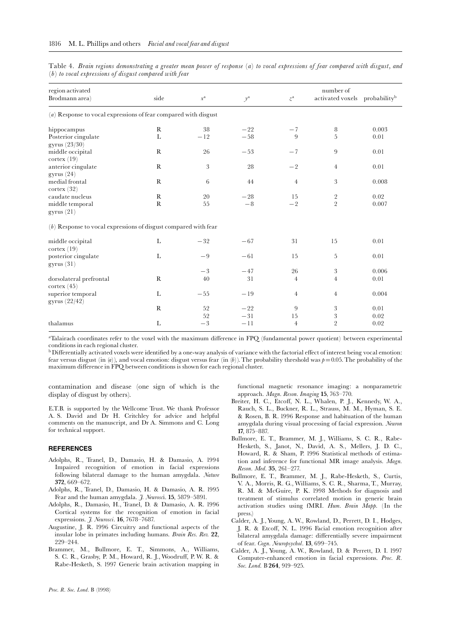|  | Table 4. Brain regions demonstrating a greater mean power of response (a) to vocal expressions of fear compared with disgust, and |  |  |  |  |  |  |
|--|-----------------------------------------------------------------------------------------------------------------------------------|--|--|--|--|--|--|
|  | $(b)$ to vocal expressions of disgust compared with fear                                                                          |  |  |  |  |  |  |

| region activated<br>Brodmann area)                                | side         | $x^{\mathrm{a}}$ | $y^{\rm a}$    | $\boldsymbol{z}^{\mathrm{a}}$ | number of<br>activated voxels probability <sup>b</sup> |              |
|-------------------------------------------------------------------|--------------|------------------|----------------|-------------------------------|--------------------------------------------------------|--------------|
| $(a)$ Response to vocal expressions of fear compared with disgust |              |                  |                |                               |                                                        |              |
| hippocampus                                                       | $\mathbf R$  | 38               | $-22$          | $-7$                          | 8                                                      | 0.003        |
| Posterior cingulate<br>gyrus (23/30)                              | L            | $-12$            | $-58$          | 9                             | 5                                                      | 0.01         |
| middle occipital<br>cortex (19)                                   | $\mathbb{R}$ | 26               | $-53$          | $-7$                          | 9                                                      | 0.01         |
| anterior cingulate<br>gyrus(24)                                   | $\mathbb{R}$ | $\sqrt{3}$       | 28             | $-2$                          | $\overline{4}$                                         | 0.01         |
| medial frontal<br>cortex (32)                                     | $\mathbb{R}$ | 6                | 44             | $\overline{4}$                | 3                                                      | 0.008        |
| caudate nucleus                                                   | $\mathbb{R}$ | 20               | $-28$          | 15                            | $\sqrt{2}$                                             | 0.02         |
| middle temporal<br>gyrus(21)                                      | $\mathbb{R}$ | 55               | $-8$           | $-2$                          | $\overline{2}$                                         | 0.007        |
| $(b)$ Response to vocal expressions of disgust compared with fear |              |                  |                |                               |                                                        |              |
| middle occipital<br>$\text{cortex} (19)$                          | L            | $-32$            | $-67$          | 31                            | 15                                                     | 0.01         |
| posterior cingulate<br>gyrus(31)                                  | L            | $-9$             | $-61$          | 15                            | 5                                                      | 0.01         |
|                                                                   |              | $-3$             | $-47$          | 26                            | 3                                                      | 0.006        |
| dorsolateral prefrontal<br>$\text{cortex } (45)$                  | $\mathbb{R}$ | 40               | 31             | $\overline{4}$                | $\overline{4}$                                         | 0.01         |
| superior temporal<br>gyrus (22/42)                                | L            | $-55$            | $-19$          | $\overline{4}$                | $\overline{4}$                                         | 0.004        |
|                                                                   | $\mathbb{R}$ | 52<br>52         | $-22$<br>$-31$ | 9<br>15                       | $\,3$<br>$\sqrt{3}$                                    | 0.01<br>0.02 |
| thalamus                                                          | L            | $-3$             | $-11$          | $\overline{4}$                | $\overline{2}$                                         | 0.02         |

aTalairach coordinates refer to the voxel with the maximum difference in FPQ (fundamental power quotient) between experimental conditions in each regional cluster.

<sup>b</sup> Differentially activated voxels were identified by a one-way analysis of variance with the factorial effect of interest being vocal emotion: fear versus disgust (in  $(a)$ ), and vocal emotion: disgust versus fear (in  $(b)$ ). The probability threshold was  $p=0.05$ . The probability of the maximum difference in FPQ between conditions is shown for each regional cluster.

contamination and disease (one sign of which is the display of disgust by others).

E.T.B. is supported by the Wellcome Trust. We thank Professor A. S. David and Dr H. Critchley for advice and helpful comments on the manuscript, and Dr A. Simmons and C. Long for technical support.

#### **REFERENCES**

- Adolphs, R., Tranel, D., Damasio, H. & Damasio, A. 1994 Impaired recognition of emotion in facial expressions following bilateral damage to the human amygdala. Nature 372, 669^672.
- Adolphs, R., Tranel, D., Damasio, H. & Damasio, A. R. 1995 Fear and the human amygdala.  $\tilde{J}$ . Neurosci. **15**, 5879–5891.
- Adolphs, R., Damasio, H., Tranel, D. & Damasio, A. R. 1996 Cortical systems for the recognition of emotion in facial expressions. *J. Neurosci*. **16**, 7678-7687.
- Augustine, J. R. 1996 Circuitry and functional aspects of the insular lobe in primates including humans. Brain Res. Rev. 22, 229^244.
- Brammer, M., Bullmore, E. T., Simmons, A., Williams, S. C. R., Grasby, P. M., Howard, R. J., Woodruff, P. W. R. & Rabe-Hesketh, S. 1997 Generic brain activation mapping in

functional magnetic resonance imaging: a nonparametric approach. Magn. Reson. Imaging 15, 763-770.

- Breiter, H. C., Etcoff, N. L., Whalen, P. J., Kennedy, W. A., Rauch, S. L., Buckner, R. L., Strauss, M. M., Hyman, S. E. & Rosen, B. R. 1996 Response and habituation of the human amygdala during visual processing of facial expression. Neuron 17, 875^887.
- Bullmore, E. T., Brammer, M. J., Williams, S. C. R., Rabe-Hesketh, S., Janot, N., David, A. S., Mellers, J. D. C., Howard, R. & Sham, P. 1996 Statistical methods of estimation and inference for functional MR image analysis. Magn. Reson. Med. 35, 261-277.
- Bullmore, E. T., Brammer, M. J., Rabe-Hesketh, S., Curtis, V. A., Morris, R. G., Williams, S. C. R., Sharma, T., Murray, R. M. & McGuire, P. K. 1998 Methods for diagnosis and treatment of stimulus correlated motion in generic brain activation studies using fMRI. Hum. Brain Mapp. (In the press.)
- Calder, A. J., Young, A. W., Rowland, D., Perrett, D. I., Hodges, J. R. & Etcoff, N. L. 1996 Facial emotion recognition after bilateral amygdala damage: differentially severe impairment of fear. Cogn. Neuropsychol. 13, 699-745.
- Calder, A. J., Young, A. W., Rowland, D. & Perrett, D. I. 1997 Computer-enhanced emotion in facial expressions. Proc. R. Soc. Lond. B 264, 919-925.